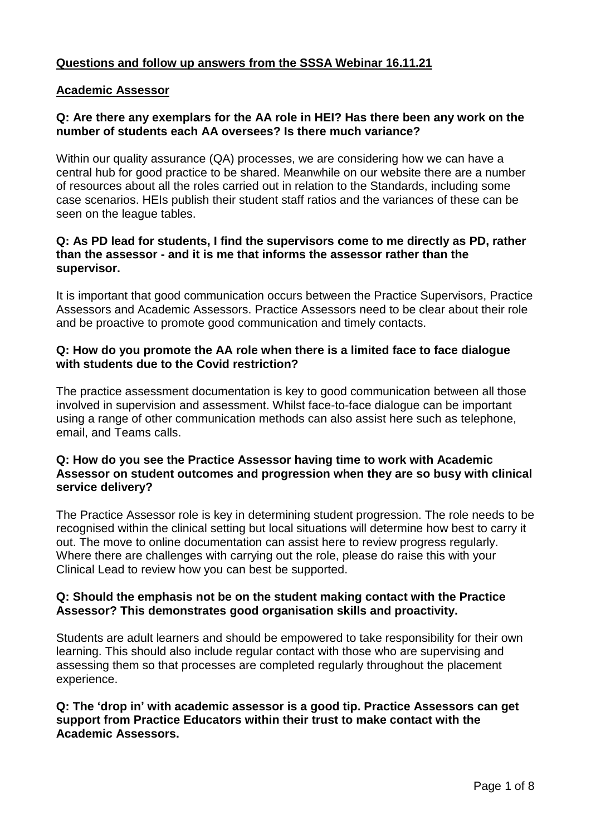# **Questions and follow up answers from the SSSA Webinar 16.11.21**

## **Academic Assessor**

#### **Q: Are there any exemplars for the AA role in HEI? Has there been any work on the number of students each AA oversees? Is there much variance?**

Within our quality assurance (QA) processes, we are considering how we can have a central hub for good practice to be shared. Meanwhile on our website there are a number of resources about all the roles carried out in relation to the Standards, including some case scenarios. HEIs publish their student staff ratios and the variances of these can be seen on the league tables.

#### **Q: As PD lead for students, I find the supervisors come to me directly as PD, rather than the assessor - and it is me that informs the assessor rather than the supervisor.**

It is important that good communication occurs between the Practice Supervisors, Practice Assessors and Academic Assessors. Practice Assessors need to be clear about their role and be proactive to promote good communication and timely contacts.

#### **Q: How do you promote the AA role when there is a limited face to face dialogue with students due to the Covid restriction?**

The practice assessment documentation is key to good communication between all those involved in supervision and assessment. Whilst face-to-face dialogue can be important using a range of other communication methods can also assist here such as telephone, email, and Teams calls.

#### **Q: How do you see the Practice Assessor having time to work with Academic Assessor on student outcomes and progression when they are so busy with clinical service delivery?**

The Practice Assessor role is key in determining student progression. The role needs to be recognised within the clinical setting but local situations will determine how best to carry it out. The move to online documentation can assist here to review progress regularly. Where there are challenges with carrying out the role, please do raise this with your Clinical Lead to review how you can best be supported.

## **Q: Should the emphasis not be on the student making contact with the Practice Assessor? This demonstrates good organisation skills and proactivity.**

Students are adult learners and should be empowered to take responsibility for their own learning. This should also include regular contact with those who are supervising and assessing them so that processes are completed regularly throughout the placement experience.

#### **Q: The 'drop in' with academic assessor is a good tip. Practice Assessors can get support from Practice Educators within their trust to make contact with the Academic Assessors.**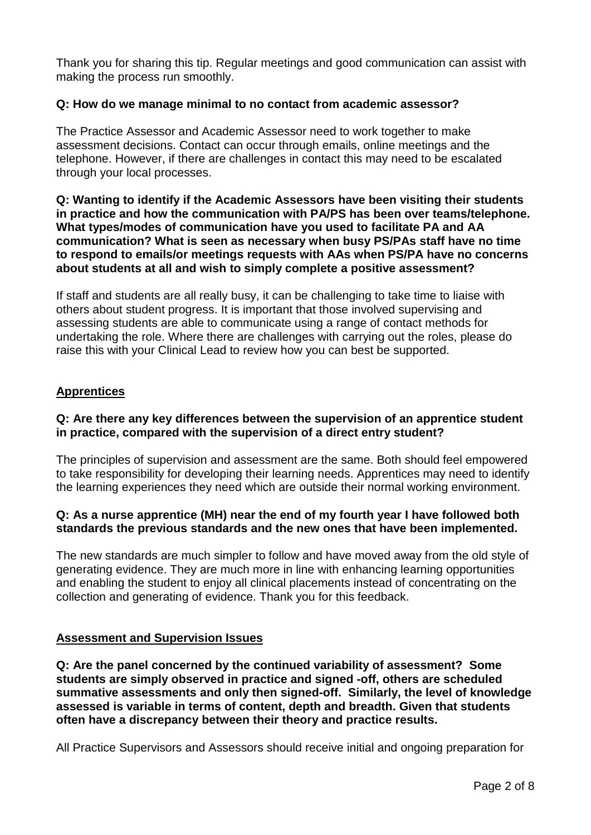Thank you for sharing this tip. Regular meetings and good communication can assist with making the process run smoothly.

# **Q: How do we manage minimal to no contact from academic assessor?**

The Practice Assessor and Academic Assessor need to work together to make assessment decisions. Contact can occur through emails, online meetings and the telephone. However, if there are challenges in contact this may need to be escalated through your local processes.

#### **Q: Wanting to identify if the Academic Assessors have been visiting their students in practice and how the communication with PA/PS has been over teams/telephone. What types/modes of communication have you used to facilitate PA and AA communication? What is seen as necessary when busy PS/PAs staff have no time to respond to emails/or meetings requests with AAs when PS/PA have no concerns about students at all and wish to simply complete a positive assessment?**

If staff and students are all really busy, it can be challenging to take time to liaise with others about student progress. It is important that those involved supervising and assessing students are able to communicate using a range of contact methods for undertaking the role. Where there are challenges with carrying out the roles, please do raise this with your Clinical Lead to review how you can best be supported.

## **Apprentices**

## **Q: Are there any key differences between the supervision of an apprentice student in practice, compared with the supervision of a direct entry student?**

The principles of supervision and assessment are the same. Both should feel empowered to take responsibility for developing their learning needs. Apprentices may need to identify the learning experiences they need which are outside their normal working environment.

## **Q: As a nurse apprentice (MH) near the end of my fourth year I have followed both standards the previous standards and the new ones that have been implemented.**

The new standards are much simpler to follow and have moved away from the old style of generating evidence. They are much more in line with enhancing learning opportunities and enabling the student to enjoy all clinical placements instead of concentrating on the collection and generating of evidence. Thank you for this feedback.

## **Assessment and Supervision Issues**

**Q: Are the panel concerned by the continued variability of assessment? Some students are simply observed in practice and signed -off, others are scheduled summative assessments and only then signed-off. Similarly, the level of knowledge assessed is variable in terms of content, depth and breadth. Given that students often have a discrepancy between their theory and practice results.**

All Practice Supervisors and Assessors should receive initial and ongoing preparation for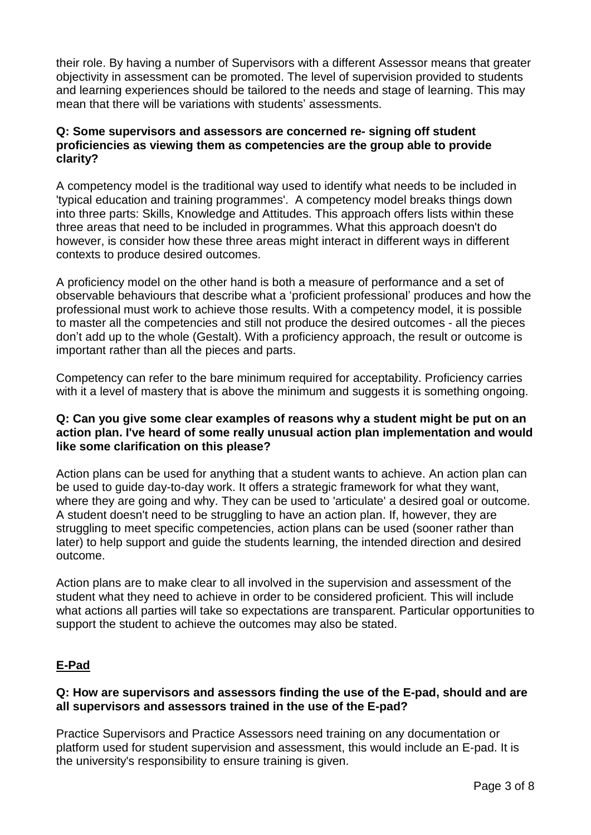their role. By having a number of Supervisors with a different Assessor means that greater objectivity in assessment can be promoted. The level of supervision provided to students and learning experiences should be tailored to the needs and stage of learning. This may mean that there will be variations with students' assessments.

# **Q: Some supervisors and assessors are concerned re- signing off student proficiencies as viewing them as competencies are the group able to provide clarity?**

A competency model is the traditional way used to identify what needs to be included in 'typical education and training programmes'. A competency model breaks things down into three parts: Skills, Knowledge and Attitudes. This approach offers lists within these three areas that need to be included in programmes. What this approach doesn't do however, is consider how these three areas might interact in different ways in different contexts to produce desired outcomes.

A proficiency model on the other hand is both a measure of performance and a set of observable behaviours that describe what a 'proficient professional' produces and how the professional must work to achieve those results. With a competency model, it is possible to master all the competencies and still not produce the desired outcomes - all the pieces don't add up to the whole (Gestalt). With a proficiency approach, the result or outcome is important rather than all the pieces and parts.

Competency can refer to the bare minimum required for acceptability. Proficiency carries with it a level of mastery that is above the minimum and suggests it is something ongoing.

# **Q: Can you give some clear examples of reasons why a student might be put on an action plan. I've heard of some really unusual action plan implementation and would like some clarification on this please?**

Action plans can be used for anything that a student wants to achieve. An action plan can be used to guide day-to-day work. It offers a strategic framework for what they want, where they are going and why. They can be used to 'articulate' a desired goal or outcome. A student doesn't need to be struggling to have an action plan. If, however, they are struggling to meet specific competencies, action plans can be used (sooner rather than later) to help support and guide the students learning, the intended direction and desired outcome.

Action plans are to make clear to all involved in the supervision and assessment of the student what they need to achieve in order to be considered proficient. This will include what actions all parties will take so expectations are transparent. Particular opportunities to support the student to achieve the outcomes may also be stated.

# **E-Pad**

# **Q: How are supervisors and assessors finding the use of the E-pad, should and are all supervisors and assessors trained in the use of the E-pad?**

Practice Supervisors and Practice Assessors need training on any documentation or platform used for student supervision and assessment, this would include an E-pad. It is the university's responsibility to ensure training is given.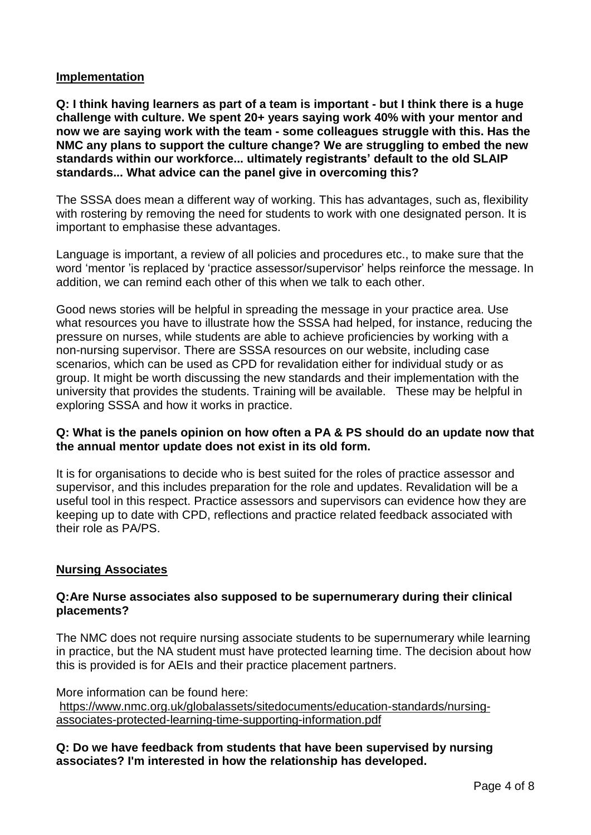# **Implementation**

Q: I think having learners as part of a team is important - but I think there is a huge **challenge with culture. We spent 20+ years saying work 40% with your mentor and now we are saying work with the team - some colleagues struggle with this. Has the NMC any plans to support the culture change? We are struggling to embed the new standards within our workforce... ultimately registrants' default to the old SLAIP standards... What advice can the panel give in overcoming this?**

The SSSA does mean a different way of working. This has advantages, such as, flexibility with rostering by removing the need for students to work with one designated person. It is important to emphasise these advantages.

Language is important, a review of all policies and procedures etc., to make sure that the word 'mentor 'is replaced by 'practice assessor/supervisor' helps reinforce the message. In addition, we can remind each other of this when we talk to each other.

Good news stories will be helpful in spreading the message in your practice area. Use what resources you have to illustrate how the SSSA had helped, for instance, reducing the pressure on nurses, while students are able to achieve proficiencies by working with a non-nursing supervisor. There are SSSA resources on our website, including case scenarios, which can be used as CPD for revalidation either for individual study or as group. It might be worth discussing the new standards and their implementation with the university that provides the students. Training will be available. These may be helpful in exploring SSSA and how it works in practice.

## **Q: What is the panels opinion on how often a PA & PS should do an update now that the annual mentor update does not exist in its old form.**

It is for organisations to decide who is best suited for the roles of practice assessor and supervisor, and this includes preparation for the role and updates. Revalidation will be a useful tool in this respect. Practice assessors and supervisors can evidence how they are keeping up to date with CPD, reflections and practice related feedback associated with their role as PA/PS.

# **Nursing Associates**

## **Q:Are Nurse associates also supposed to be supernumerary during their clinical placements?**

The NMC does not require nursing associate students to be supernumerary while learning in practice, but the NA student must have protected learning time. The decision about how this is provided is for AEIs and their practice placement partners.

More information can be found here: [https://www.nmc.org.uk/globalassets/sitedocuments/education-standards/nursing](https://www.nmc.org.uk/globalassets/sitedocuments/education-standards/nursing-associates-protected-learning-time-supporting-information.pdf)[associates-protected-learning-time-supporting-information.pdf](https://www.nmc.org.uk/globalassets/sitedocuments/education-standards/nursing-associates-protected-learning-time-supporting-information.pdf)

**Q: Do we have feedback from students that have been supervised by nursing associates? I'm interested in how the relationship has developed.**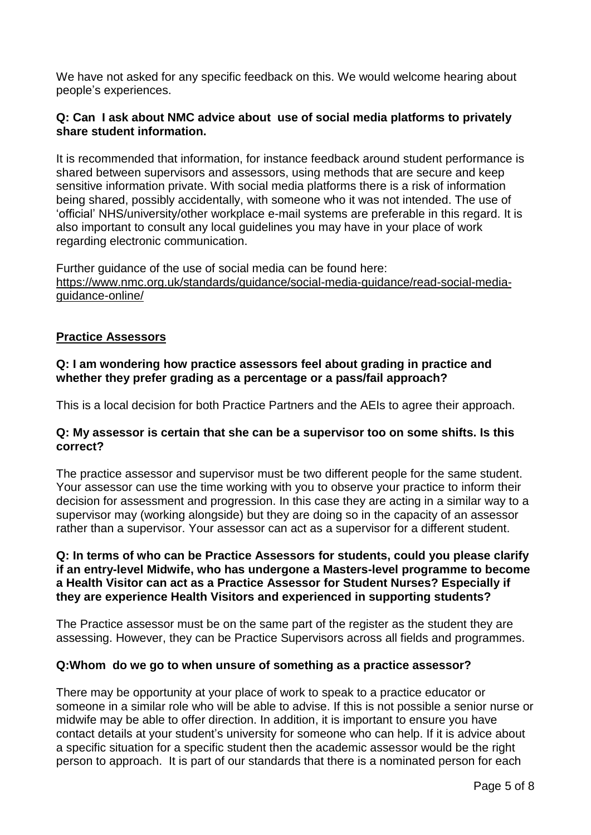We have not asked for any specific feedback on this. We would welcome hearing about people's experiences.

## **Q: Can I ask about NMC advice about use of social media platforms to privately share student information.**

It is recommended that information, for instance feedback around student performance is shared between supervisors and assessors, using methods that are secure and keep sensitive information private. With social media platforms there is a risk of information being shared, possibly accidentally, with someone who it was not intended. The use of 'official' NHS/university/other workplace e-mail systems are preferable in this regard. It is also important to consult any local guidelines you may have in your place of work regarding electronic communication.

Further guidance of the use of social media can be found here: [https://www.nmc.org.uk/standards/guidance/social-media-guidance/read-social-media](https://www.nmc.org.uk/standards/guidance/social-media-guidance/read-social-media-guidance-online/)[guidance-online/](https://www.nmc.org.uk/standards/guidance/social-media-guidance/read-social-media-guidance-online/)

## **Practice Assessors**

# **Q: I am wondering how practice assessors feel about grading in practice and whether they prefer grading as a percentage or a pass/fail approach?**

This is a local decision for both Practice Partners and the AEIs to agree their approach.

## **Q: My assessor is certain that she can be a supervisor too on some shifts. Is this correct?**

The practice assessor and supervisor must be two different people for the same student. Your assessor can use the time working with you to observe your practice to inform their decision for assessment and progression. In this case they are acting in a similar way to a supervisor may (working alongside) but they are doing so in the capacity of an assessor rather than a supervisor. Your assessor can act as a supervisor for a different student.

#### **Q: In terms of who can be Practice Assessors for students, could you please clarify if an entry-level Midwife, who has undergone a Masters-level programme to become a Health Visitor can act as a Practice Assessor for Student Nurses? Especially if they are experience Health Visitors and experienced in supporting students?**

The Practice assessor must be on the same part of the register as the student they are assessing. However, they can be Practice Supervisors across all fields and programmes.

## **Q:Whom do we go to when unsure of something as a practice assessor?**

There may be opportunity at your place of work to speak to a practice educator or someone in a similar role who will be able to advise. If this is not possible a senior nurse or midwife may be able to offer direction. In addition, it is important to ensure you have contact details at your student's university for someone who can help. If it is advice about a specific situation for a specific student then the academic assessor would be the right person to approach. It is part of our standards that there is a nominated person for each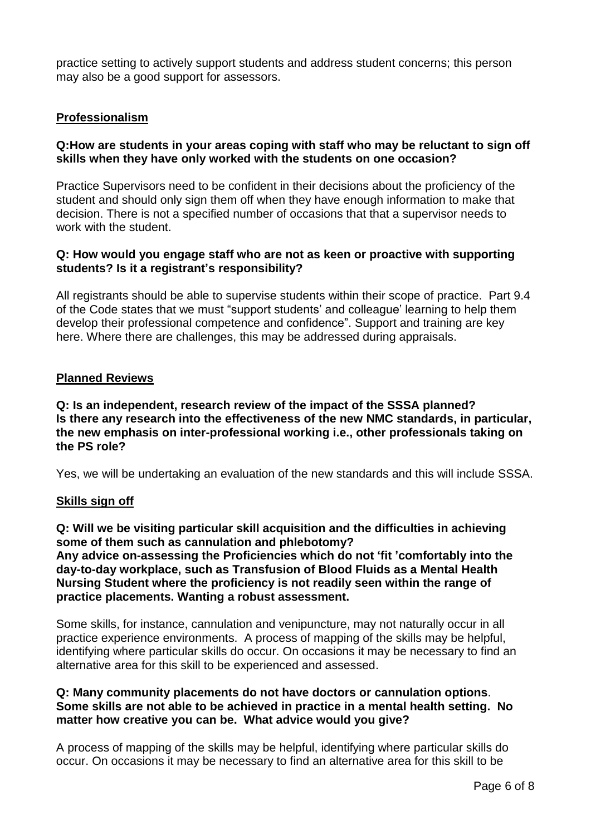practice setting to actively support students and address student concerns; this person may also be a good support for assessors.

# **Professionalism**

#### **Q:How are students in your areas coping with staff who may be reluctant to sign off skills when they have only worked with the students on one occasion?**

Practice Supervisors need to be confident in their decisions about the proficiency of the student and should only sign them off when they have enough information to make that decision. There is not a specified number of occasions that that a supervisor needs to work with the student.

#### **Q: How would you engage staff who are not as keen or proactive with supporting students? Is it a registrant's responsibility?**

All registrants should be able to supervise students within their scope of practice. Part 9.4 of the Code states that we must "support students' and colleague' learning to help them develop their professional competence and confidence". Support and training are key here. Where there are challenges, this may be addressed during appraisals.

## **Planned Reviews**

**Q: Is an independent, research review of the impact of the SSSA planned? Is there any research into the effectiveness of the new NMC standards, in particular, the new emphasis on inter-professional working i.e., other professionals taking on the PS role?**

Yes, we will be undertaking an evaluation of the new standards and this will include SSSA.

#### **Skills sign off**

**Q: Will we be visiting particular skill acquisition and the difficulties in achieving some of them such as cannulation and phlebotomy? Any advice on-assessing the Proficiencies which do not 'fit 'comfortably into the day-to-day workplace, such as Transfusion of Blood Fluids as a Mental Health Nursing Student where the proficiency is not readily seen within the range of practice placements. Wanting a robust assessment.**

Some skills, for instance, cannulation and venipuncture, may not naturally occur in all practice experience environments. A process of mapping of the skills may be helpful, identifying where particular skills do occur. On occasions it may be necessary to find an alternative area for this skill to be experienced and assessed.

#### **Q: Many community placements do not have doctors or cannulation options**. **Some skills are not able to be achieved in practice in a mental health setting. No matter how creative you can be. What advice would you give?**

A process of mapping of the skills may be helpful, identifying where particular skills do occur. On occasions it may be necessary to find an alternative area for this skill to be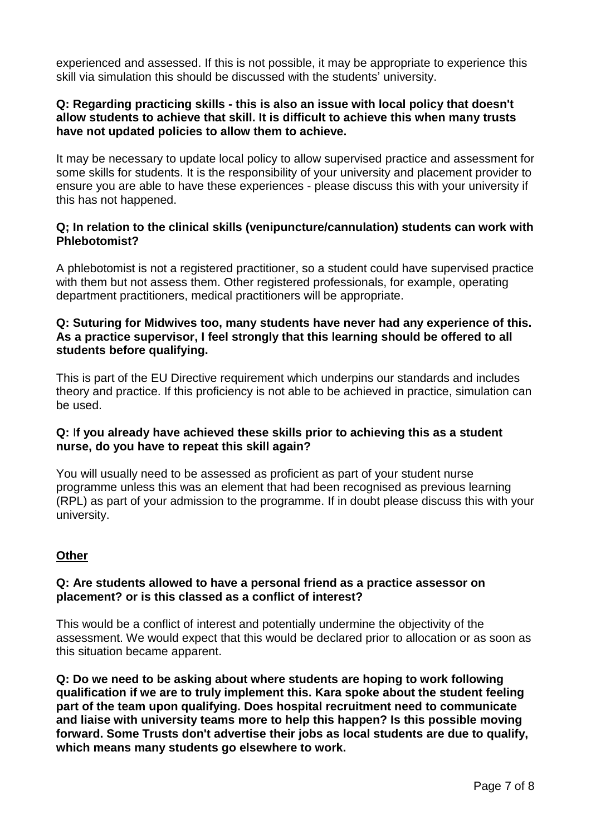experienced and assessed. If this is not possible, it may be appropriate to experience this skill via simulation this should be discussed with the students' university.

#### **Q: Regarding practicing skills - this is also an issue with local policy that doesn't allow students to achieve that skill. It is difficult to achieve this when many trusts have not updated policies to allow them to achieve.**

It may be necessary to update local policy to allow supervised practice and assessment for some skills for students. It is the responsibility of your university and placement provider to ensure you are able to have these experiences - please discuss this with your university if this has not happened.

# **Q; In relation to the clinical skills (venipuncture/cannulation) students can work with Phlebotomist?**

A phlebotomist is not a registered practitioner, so a student could have supervised practice with them but not assess them. Other registered professionals, for example, operating department practitioners, medical practitioners will be appropriate.

### **Q: Suturing for Midwives too, many students have never had any experience of this. As a practice supervisor, I feel strongly that this learning should be offered to all students before qualifying.**

This is part of the EU Directive requirement which underpins our standards and includes theory and practice. If this proficiency is not able to be achieved in practice, simulation can be used.

# **Q:** I**f you already have achieved these skills prior to achieving this as a student nurse, do you have to repeat this skill again?**

You will usually need to be assessed as proficient as part of your student nurse programme unless this was an element that had been recognised as previous learning (RPL) as part of your admission to the programme. If in doubt please discuss this with your university.

# **Other**

## **Q: Are students allowed to have a personal friend as a practice assessor on placement? or is this classed as a conflict of interest?**

This would be a conflict of interest and potentially undermine the objectivity of the assessment. We would expect that this would be declared prior to allocation or as soon as this situation became apparent.

**Q: Do we need to be asking about where students are hoping to work following qualification if we are to truly implement this. Kara spoke about the student feeling part of the team upon qualifying. Does hospital recruitment need to communicate and liaise with university teams more to help this happen? Is this possible moving forward. Some Trusts don't advertise their jobs as local students are due to qualify, which means many students go elsewhere to work.**